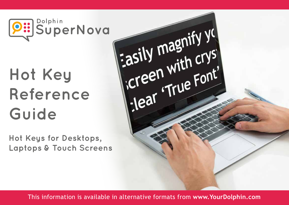

# **Hot Key Reference Guide**

**Hot Keys for Desktops, Laptops & Touch Screens**



This information is available in alternative formats from **www.YourDolphin.com**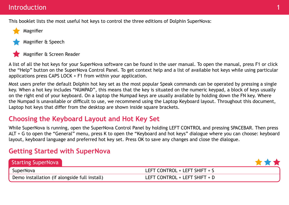#### Introduction

This booklet lists the most useful hot keys to control the three editions of Dolphin SuperNova:



Magnifier & Speech



Magnifier & Screen Reader

A list of all the hot keys for your SuperNova software can be found in the user manual. To open the manual, press F1 or click the "Help" button on the SuperNova Control Panel. To get context help and a list of available hot keys while using particular applications press CAPS LOCK + F1 from within your application.

Most users prefer the default Dolphin hot key set as the most popular Speak commands can be operated by pressing a single key. When a hot key includes "NUMPAD", this means that the key is situated on the numeric keypad, a block of keys usually on the right end of your keyboard. On a laptop the Numpad keys are usually available by holding down the FN key. Where the Numpad is unavailable or difficult to use, we recommend using the Laptop Keyboard layout. Throughout this document, Laptop hot keys that differ from the desktop are shown inside square brackets.

# **Choosing the Keyboard Layout and Hot Key Set**

While SuperNova is running, open the SuperNova Control Panel by holding LEFT CONTROL and pressing SPACEBAR. Then press ALT + G to open the "General" menu, press K to open the "Keyboard and hot keys" dialogue where you can choose: keyboard layout, keyboard language and preferred hot key set. Press OK to save any changes and close the dialogue.

## **Getting Started with SuperNova**

| <b>Starting SuperNova</b>                     |                               |
|-----------------------------------------------|-------------------------------|
| SuperNova                                     | LEFT CONTROL + LEFT SHIFT + S |
| Demo installation (if alongside full install) | LEFT CONTROL + LEFT SHIFT + D |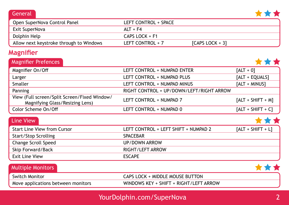#### **General**



| Open SuperNova Control Panel            | LEFT CONTROL + SPACE |                   |
|-----------------------------------------|----------------------|-------------------|
| Exit SuperNova                          | $ALT + F4$           |                   |
| Dolphin Help                            | $CAPS$ $LOCK + F1$   |                   |
| Allow next keystroke through to Windows | LEFT CONTROL + 7     | $[CAPS LOGK + 3]$ |

# **Magnifier**

| <b>Magnifier Prefences</b>                                                      |                                          |                      |
|---------------------------------------------------------------------------------|------------------------------------------|----------------------|
| Magnifier On/Off                                                                | LEFT CONTROL + NUMPAD ENTER              | $[ALT + 0]$          |
| Larger                                                                          | LEFT CONTROL + NUMPAD PLUS               | [ALT + EQUALS]       |
| Smaller                                                                         | LEFT CONTROL + NUMPAD MINUS              | [ALT + MINUS]        |
| Panning                                                                         | RIGHT CONTROL + UP/DOWN/LEFT/RIGHT ARROW |                      |
| View (Full screen/Split Screen/Fixed Window/<br>Magnifying Glass/Resizing Lens) | LEFT CONTROL + NUMPAD 7                  | $[ALT + SHIFT + M]$  |
| Color Scheme On/Off                                                             | LEFT CONTROL + NUMPAD 0                  | $[ALT + SHIFT + C]$  |
| <b>Line View</b>                                                                |                                          |                      |
| <b>Start Line View from Cursor</b>                                              | LEFT CONTROL + LEFT SHIFT + NUMPAD 2     | $[ALT + SHIFT + LI]$ |
| <b>Start/Stop Scrolling</b>                                                     | <b>SPACEBAR</b>                          |                      |
| <b>Change Scroll Speed</b>                                                      | <b>UP/DOWN ARROW</b>                     |                      |
| <b>Skip Forward/Back</b>                                                        | RIGHT/LEFT ARROW                         |                      |

| <b>Exit Line View</b>              | <b>ESCAPE</b>                          |  |
|------------------------------------|----------------------------------------|--|
| Multiple Monitors                  |                                        |  |
| <b>Switch Monitor</b>              | CAPS LOCK + MIDDLE MOUSE BUTTON        |  |
| Move applications between monitors | WINDOWS KEY + SHIFT + RIGHT/LEFT ARROW |  |

# YourDolphin.com/SuperNova 2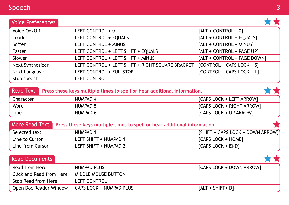| Speech                   |                       |                          |
|--------------------------|-----------------------|--------------------------|
| <b>Voice Preferences</b> |                       |                          |
| Voice On/Off             | LEFT CONTROL + 0      | $[ALT + CONTROL + 0]$    |
| Louder                   | LEFT CONTROL + EQUALS | [ALT + CONTROL + EQUALS] |
|                          |                       |                          |

| Voice On/Off     | LEFT CONTROL + 0                                 | $[ALT + CONTROL + 0]$       |
|------------------|--------------------------------------------------|-----------------------------|
| Louder           | LEFT CONTROL + EQUALS                            | [ALT + CONTROL + EQUALS]    |
| Softer           | LEFT CONTROL + MINUS                             | [ALT + CONTROL + MINUS]     |
| Faster           | LEFT CONTROL + LEFT SHIFT + EQUALS               | [ALT + CONTROL + PAGE UP]   |
| Slower           | LEFT CONTROL + LEFT SHIFT + MINUS                | [ALT + CONTROL + PAGE DOWN] |
| Next Synthesizer | LEFT CONTROL + LEFT SHIFT + RIGHT SQUARE BRACKET | [CONTROL + CAPS LOCK + S]   |
| Next Language    | LEFT CONTROL + FULLSTOP                          | [CONTROL + CAPS LOCK + L]   |
| Stop speech      | <b>LEFT CONTROL</b>                              |                             |

|           | Read Text Press these keys multiple times to spell or hear additional information. |                           |  |
|-----------|------------------------------------------------------------------------------------|---------------------------|--|
| Character | NUMPAD 4                                                                           | [CAPS LOCK + LEFT ARROW]  |  |
| Word      | NUMPAD 5                                                                           | [CAPS LOCK + RIGHT ARROW] |  |
| Line      | NUMPAD 6                                                                           | [CAPS LOCK + UP ARROW]    |  |

|                  | More Read Text Press these keys multiple times to spell or hear additional information. |                                   |
|------------------|-----------------------------------------------------------------------------------------|-----------------------------------|
| Selected text    | NUMPAD 1                                                                                | [SHIFT + CAPS LOCK + DOWN ARROW]] |
| Line to Cursor   | LEFT SHIFT + NUMPAD 1                                                                   | [CAPS LOCK + HOME]                |
| Line from Cursor | LEFT SHIFT + NUMPAD 2                                                                   | [CAPS LOCK + END]                 |

| <b>Read Documents</b>    |                         |                          |
|--------------------------|-------------------------|--------------------------|
| Read from Here           | NUMPAD PLUS             | [CAPS LOCK + DOWN ARROW] |
| Click and Read from Here | MIDDLE MOUSE BUTTON     |                          |
| Stop Read from Here      | <b>LEFT CONTROL</b>     |                          |
| Open Doc Reader Window   | CAPS LOCK + NUMPAD PLUS | $[ALT + SHIFT + D]$      |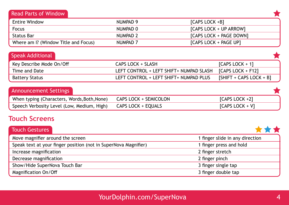#### Read Parts of Window

| <b>Entire Window</b>                 | NUMPAD 9            | $[CAPS LOGK + B]$       |
|--------------------------------------|---------------------|-------------------------|
| Focus                                | NUMPAD 0            | [CAPS LOCK + UP ARROW]  |
| Status Bar                           | NUMPAD <sub>2</sub> | [CAPS LOCK + PAGE DOWN] |
| Where am I? (Window Title and Focus) | NUMPAD <sub>7</sub> | [CAPS LOCK + PAGE UP]   |

| <b>Speak Additional</b>  |                                         |                           |
|--------------------------|-----------------------------------------|---------------------------|
| Key Describe Mode On/Off | CAPS LOCK + SLASH                       | $[CAPS LOCK + 1]$         |
| Time and Date            | LEFT CONTROL + LEFT SHIFT+ NUMPAD SLASH | $[CAPS LOGK + F12]$       |
| <b>Battery Status</b>    | LEFT CONTROL + LEFT SHIFT+ NUMPAD PLUS  | $[SHIFT + CAPS LOCK + B]$ |

| <b>Announcement Settings</b> |  |
|------------------------------|--|
|                              |  |

| When typing (Characters, Words, Both, None) CAPS LOCK + SEMICOLON | $[CAPS LOCK +2]$  |
|-------------------------------------------------------------------|-------------------|
| Speech Verbosity Level (Low, Medium, High) CAPS LOCK + EQUALS     | $[CAPS LOCK + V]$ |

## **Touch Screens**

| <b>Touch Gestures</b>                                           |                                 |
|-----------------------------------------------------------------|---------------------------------|
| Move magnifier around the screen                                | 1 finger slide in any direction |
| Speak text at your finger position (not in SuperNova Magnifier) | 1 finger press and hold         |
| Increase magnification                                          | 2 finger stretch                |
| Decrease magnification                                          | 2 finger pinch                  |
| Show/Hide SuperNova Touch Bar                                   | 3 finger single tap             |
| Magnification On/Off                                            | 3 finger double tap             |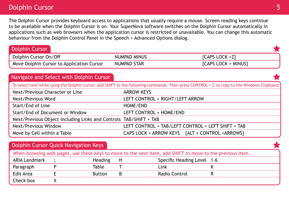#### **Dolphin Cursor 5 and 200 and 200 and 200 and 200 and 200 and 200 and 200 and 200 and 200 and 200 and 200 and 3**

Check box X

The Dolphin Cursor provides keyboard access to applications that usually require a mouse. Screen reading keys continue to be available when the Dolphin Cursor is on. Your SuperNova software switches on the Dolphin Cursor automatically in applications such as web browsers when the application cursor is restricted or unavailable. You can change this automatic behaviour from the Dolphin Control Panel in the Speech > Advanced Options dialog.

| <b>Dolphin Cursor</b>                                                                                     |                                 |                                                                                                                                              |  |  |
|-----------------------------------------------------------------------------------------------------------|---------------------------------|----------------------------------------------------------------------------------------------------------------------------------------------|--|--|
| Dolphin Cursor On/Off                                                                                     | <b>NUMPAD MINUS</b>             | [CAPS LOCK +Z]                                                                                                                               |  |  |
| Move Dolphin Cursor to Application Cursor                                                                 | <b>NUMPAD STAR</b>              | [CAPS LOCK + MINUS]                                                                                                                          |  |  |
|                                                                                                           |                                 |                                                                                                                                              |  |  |
| Navigate and Select with Dolphin Cursor                                                                   |                                 |                                                                                                                                              |  |  |
|                                                                                                           |                                 | To select text while using the Dolphin cursor, add SHIFT to the following commands. Then press CONTROL + C to copy to the Windows Clipboard. |  |  |
| Next/Previous Character or Line                                                                           | <b>ARROW KEYS</b>               |                                                                                                                                              |  |  |
| Next/Previous Word                                                                                        | LEFT CONTROL + RIGHT/LEFT ARROW |                                                                                                                                              |  |  |
| Start/End of Line                                                                                         | HOME/END                        |                                                                                                                                              |  |  |
| Start/End of Document or Window                                                                           | LEFT CONTROL + HOME/END         |                                                                                                                                              |  |  |
| Next/Previous Object including Links and Controls TAB/SHIFT + TAB                                         |                                 |                                                                                                                                              |  |  |
| <b>Next/Previous Window</b>                                                                               |                                 | LEFT CONTROL + TAB/LEFT CONTROL + LEFT SHIFT + TAB                                                                                           |  |  |
| Move by Cell within a Table                                                                               |                                 | CAPS LOCK + ARROW KEYS [ALT + CONTROL +ARROWS]                                                                                               |  |  |
|                                                                                                           |                                 |                                                                                                                                              |  |  |
| Dolphin Cursor Quick Navigation Keys                                                                      |                                 |                                                                                                                                              |  |  |
| When browsing web pages, use these keys to move to the next item, add SHIFT to move to the previous item. |                                 |                                                                                                                                              |  |  |
| <b>ARIA Landmark</b><br><b>Heading</b><br>$\cdot$                                                         | H                               | Specific Heading Level 1-6                                                                                                                   |  |  |
| P<br><b>Table</b><br>Paragraph                                                                            | Link                            | Κ                                                                                                                                            |  |  |

Edit Area **E** Button B Radio Control R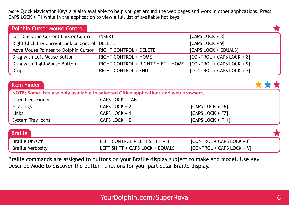More Quick Navigation Keys are also available to help you get around the web pages and work in other applications. Press CAPS LOCK + F1 while in the application to view a full list of available hot keys.

| Dolphin Cursor Mouse Control            |                                    |                             |  |
|-----------------------------------------|------------------------------------|-----------------------------|--|
| Left Click the Current Link or Control  | <b>INSERT</b>                      | $[CAPS LOCK + 8]$           |  |
| Right Click the Current Link or Control | <b>DELETE</b>                      | $[CAPS LOCK + 9]$           |  |
| Move Mouse Pointer to Dolphin Cursor    | <b>RIGHT CONTROL + DELETE</b>      | [CAPS LOCK + EQUALS]        |  |
| Drag with Left Mouse Button             | <b>RIGHT CONTROL + HOME</b>        | [CONTROL + CAPS LOCK + 8]   |  |
| Drag with Right Mouse Button            | RIGHT CONTROL + RIGHT SHIFT + HOME | $[CONTROL + CAPS LOCK + 9]$ |  |
| <b>Drop</b>                             | <b>RIGHT CONTROL + END</b>         | [CONTROL + CAPS LOCK + 7]   |  |

| Item Finder                                                                           |                                 |                           |  |  |
|---------------------------------------------------------------------------------------|---------------------------------|---------------------------|--|--|
| NOTE: Some lists are only available in selected Office applications and web browsers. |                                 |                           |  |  |
| Open Item Finder                                                                      | CAPS LOCK + TAB                 |                           |  |  |
| <b>Headings</b>                                                                       | CAPS LOCK $+2$                  | $[CAPS LOCK + F6]$        |  |  |
| Links                                                                                 | CAPS LOCK + 1                   | [CAPS LOCK + F7]          |  |  |
| System Tray Icons                                                                     | CAPS LOCK $+0$                  | [CAPS LOCK + $F11$ ]      |  |  |
| <b>Braille</b>                                                                        |                                 |                           |  |  |
| Braille On/Off                                                                        | LEFT CONTROL + LEFT SHIFT + 0   | [CONTROL + CAPS LOCK +0]  |  |  |
| <b>Braille Verbosity</b>                                                              | LEFT SHIFT + CAPS LOCK + EQUALS | [CONTROL + CAPS LOCK + V] |  |  |

Braille commands are assigned to buttons on your Braille display subject to make and model. Use Key Describe Mode to discover the button functions for your particular Braille display.